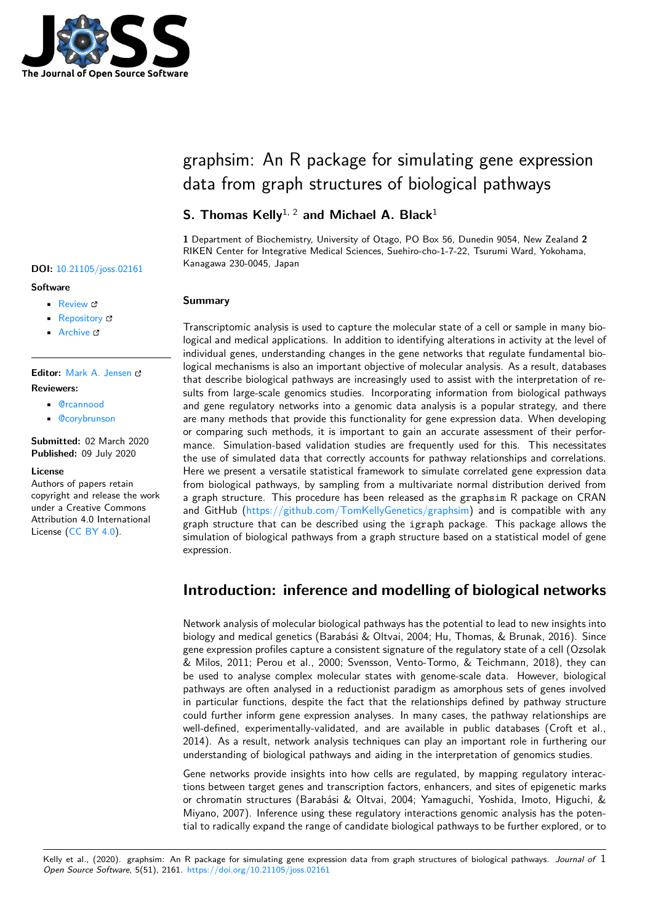

#### **Software**

- Review &
- [Repository](https://doi.org/10.21105/joss.02161) &
- Archive

#### **Editor:** [Mark A.](https://github.com/TomKellyGenetics/graphsim) Jensen **Revie[wers:](https://doi.org/10.5281/zenodo.3931288)**

- @rcannood
- @[corybrunson](https://www.linkedin.com/in/fortinbras/)

**Submitted:** 02 March 2020 **Published:** [09 Ju](https://github.com/rcannood)ly 2020

#### **License**

Autho[rs of papers re](https://github.com/corybrunson)tain copyright and release the work under a Creative Commons Attribution 4.0 International License (CC BY 4.0).

# graphsim: An R package for simulating gene expression data from graph structures of biological pathways

## **S. Thomas Kelly**1, 2 **and Michael A. Black**<sup>1</sup>

**1** Department of Biochemistry, University of Otago, PO Box 56, Dunedin 9054, New Zealand **2** RIKEN Center for Integrative Medical Sciences, Suehiro-cho-1-7-22, Tsurumi Ward, Yokohama, Kanagawa 230-0045, Japan **DOI:** 10.21105/joss.02161

#### **Summary**

Transcriptomic analysis is used to capture the molecular state of a cell or sample in many biological and medical applications. In addition to identifying alterations in activity at the level of individual genes, understanding changes in the gene networks that regulate fundamental biological mechanisms is also an important objective of molecular analysis. As a result, databases that describe biological pathways are increasingly used to assist with the interpretation of results from large-scale genomics studies. Incorporating information from biological pathways and gene regulatory networks into a genomic data analysis is a popular strategy, and there are many methods that provide this functionality for gene expression data. When developing or comparing such methods, it is important to gain an accurate assessment of their performance. Simulation-based validation studies are frequently used for this. This necessitates the use of simulated data that correctly accounts for pathway relationships and correlations. Here we present a versatile statistical framework to simulate correlated gene expression data from biological pathways, by sampling from a multivariate normal distribution derived from a graph structure. This procedure has been released as the graphsim R package on CRAN and GitHub (https://github.com/TomKellyGenetics/graphsim) and is compatible with any graph structure that can be described using the igraph package. This package allows the simulation of biological pathways from a graph structure based on a statistical model of gene expression.

## **Introduction: inference and modelling of biological networks**

Network analysis of molecular biological pathways has the potential to lead to new insights into biology and medical genetics (Barabási & Oltvai, 2004; Hu, Thomas, & Brunak, 2016). Since gene expression profiles capture a consistent signature of the regulatory state of a cell (Ozsolak & Milos, 2011; Perou et al., 2000; Svensson, Vento-Tormo, & Teichmann, 2018), they can be used to analyse complex molecular states with genome-scale data. However, biological pathways are often analysed in a reductionist paradigm as amorphous sets of genes involved in particular functions, despite the fact that the relationships defined by pathway structure could further inform gene expression analyses. In many cases, the pathway relationships are well-defined, experimentally-validated, and are available in public databases (Croft et al., 2014). As a result, network analysis techniques can play an important role in furthering our understanding of biological pathways and aiding in the interpretation of genomics studies.

Gene networks provide insights into how cells are regulated, by mapping regulatory interactions between target genes and transcription factors, enhancers, and sites of epigenetic marks or chromatin structures (Barabási & Oltvai, 2004; Yamaguchi, Yoshida, Imoto, Higuchi, & Miyano, 2007). Inference using these regulatory interactions genomic analysis has the potential to radically expand the range of candidate biological pathways to be further explored, or to

Kelly et al., (2020). graphsim: An R package for simulating gene expression data from graph structures of biological pathways. *Journal of* 1*Open Source Software*, 5(51), 2161. https://doi.org/10.21105/joss.02161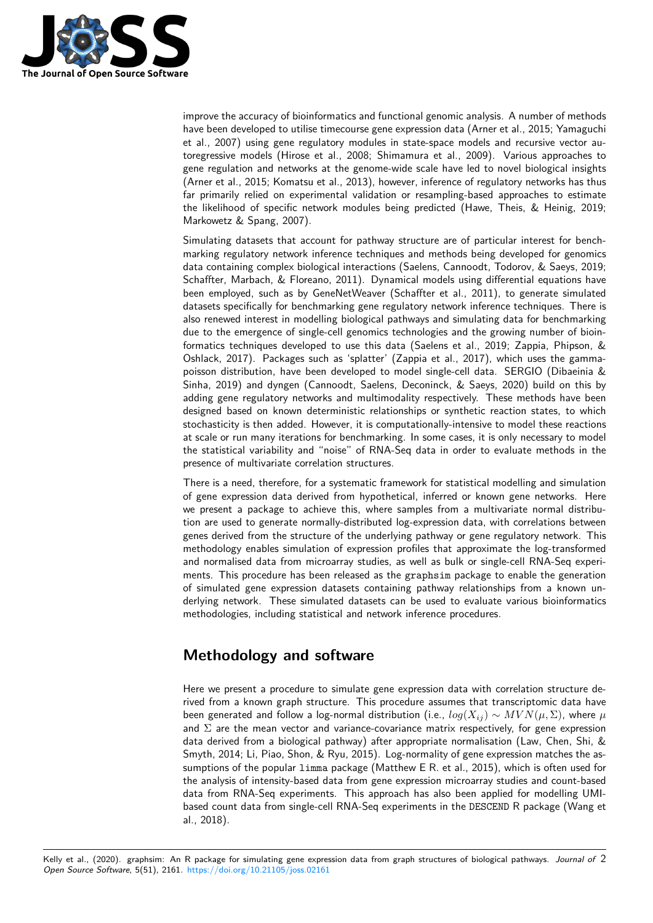

improve the accuracy of bioinformatics and functional genomic analysis. A number of methods have been developed to utilise timecourse gene expression data (Arner et al., 2015; Yamaguchi et al., 2007) using gene regulatory modules in state-space models and recursive vector autoregressive models (Hirose et al., 2008; Shimamura et al., 2009). Various approaches to gene regulation and networks at the genome-wide scale have led to novel biological insights (Arner et al., 2015; Komatsu et al., 2013), however, inference of regulatory networks has thus far primarily relied on experimental validation or resampling-based approaches to estimate the likelihood of specific network modules being predicted (Hawe, Theis, & Heinig, 2019; Markowetz & Spang, 2007).

Simulating datasets that account for pathway structure are of particular interest for benchmarking regulatory network inference techniques and methods being developed for genomics data containing complex biological interactions (Saelens, Cannoodt, Todorov, & Saeys, 2019; Schaffter, Marbach, & Floreano, 2011). Dynamical models using differential equations have been employed, such as by GeneNetWeaver (Schaffter et al., 2011), to generate simulated datasets specifically for benchmarking gene regulatory network inference techniques. There is also renewed interest in modelling biological pathways and simulating data for benchmarking due to the emergence of single-cell genomics technologies and the growing number of bioinformatics techniques developed to use this data (Saelens et al., 2019; Zappia, Phipson, & Oshlack, 2017). Packages such as 'splatter' (Zappia et al., 2017), which uses the gammapoisson distribution, have been developed to model single-cell data. SERGIO (Dibaeinia & Sinha, 2019) and dyngen (Cannoodt, Saelens, Deconinck, & Saeys, 2020) build on this by adding gene regulatory networks and multimodality respectively. These methods have been designed based on known deterministic relationships or synthetic reaction states, to which stochasticity is then added. However, it is computationally-intensive to model these reactions at scale or run many iterations for benchmarking. In some cases, it is only necessary to model the statistical variability and "noise" of RNA-Seq data in order to evaluate methods in the presence of multivariate correlation structures.

There is a need, therefore, for a systematic framework for statistical modelling and simulation of gene expression data derived from hypothetical, inferred or known gene networks. Here we present a package to achieve this, where samples from a multivariate normal distribution are used to generate normally-distributed log-expression data, with correlations between genes derived from the structure of the underlying pathway or gene regulatory network. This methodology enables simulation of expression profiles that approximate the log-transformed and normalised data from microarray studies, as well as bulk or single-cell RNA-Seq experiments. This procedure has been released as the graphsim package to enable the generation of simulated gene expression datasets containing pathway relationships from a known underlying network. These simulated datasets can be used to evaluate various bioinformatics methodologies, including statistical and network inference procedures.

## **Methodology and software**

Here we present a procedure to simulate gene expression data with correlation structure derived from a known graph structure. This procedure assumes that transcriptomic data have been generated and follow a log-normal distribution (i.e.,  $log(X_{ij}) \sim MVN(\mu, \Sigma)$ , where  $\mu$ and  $\Sigma$  are the mean vector and variance-covariance matrix respectively, for gene expression data derived from a biological pathway) after appropriate normalisation (Law, Chen, Shi, & Smyth, 2014; Li, Piao, Shon, & Ryu, 2015). Log-normality of gene expression matches the assumptions of the popular limma package (Matthew E R. et al., 2015), which is often used for the analysis of intensity-based data from gene expression microarray studies and count-based data from RNA-Seq experiments. This approach has also been applied for modelling UMIbased count data from single-cell RNA-Seq experiments in the DESCEND R package (Wang et al., 2018).

Kelly et al., (2020). graphsim: An R package for simulating gene expression data from graph structures of biological pathways. *Journal of* 2*Open Source Software*, 5(51), 2161. https://doi.org/10.21105/joss.02161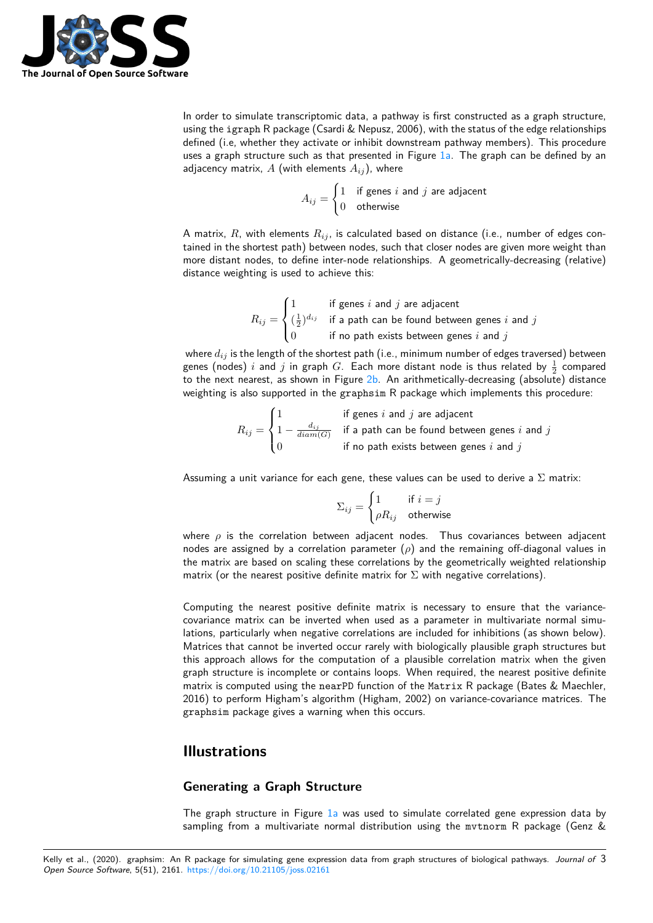

In order to simulate transcriptomic data, a pathway is first constructed as a graph structure, using the igraph R package (Csardi & Nepusz, 2006), with the status of the edge relationships defined (i.e, whether they activate or inhibit downstream pathway members). This procedure uses a graph structure such as that presented in Figure  $1a$ . The graph can be defined by an adjacency matrix,  $A$  (with elements  $A_{ij}$ ), where

> $A_{ij} =$  $\int 1$  if genes *i* and *j* are adjacent 0 otherwise

A matrix,  $R$ , with elements  $R_{ij}$ , is calculated based on distance (i.e., number of edges contained in the shortest path) between nodes, such that closer nodes are given more weight than more distant nodes, to define inter-node relationships. A geometrically-decreasing (relative) distance weighting is used to achieve this:

$$
R_{ij} = \begin{cases} 1 & \text{if genes } i \text{ and } j \text{ are adjacent} \\ \left(\frac{1}{2}\right)^{d_{ij}} & \text{if a path can be found between genes } i \text{ and } j \\ 0 & \text{if no path exists between genes } i \text{ and } j \end{cases}
$$

where *dij* is the length of the shortest path (i.e., minimum number of edges traversed) between genes (nodes)  $i$  and  $j$  in graph  $G$ . Each more distant node is thus related by  $\frac{1}{2}$  compared to the next nearest, as shown in Figure  $2b$ . An arithmetically-decreasing (absolute) distance weighting is also supported in the graphsim R package which implements this procedure:

$$
R_{ij} = \begin{cases} 1 & \text{if genes } i \text{ and } j \text{ are adjacent} \\ 1 - \frac{d_{ij}}{diam(G)} & \text{if a path can be found between genes } i \text{ and } j \\ 0 & \text{if no path exists between genes } i \text{ and } j \end{cases}
$$

Assuming a unit variance for each gene, these values can be used to derive a  $\Sigma$  matrix:

$$
\Sigma_{ij} = \begin{cases} 1 & \text{if } i = j \\ \rho R_{ij} & \text{otherwise} \end{cases}
$$

where *ρ* is the correlation between adjacent nodes. Thus covariances between adjacent nodes are assigned by a correlation parameter  $(\rho)$  and the remaining off-diagonal values in the matrix are based on scaling these correlations by the geometrically weighted relationship matrix (or the nearest positive definite matrix for  $\Sigma$  with negative correlations).

Computing the nearest positive definite matrix is necessary to ensure that the variancecovariance matrix can be inverted when used as a parameter in multivariate normal simulations, particularly when negative correlations are included for inhibitions (as shown below). Matrices that cannot be inverted occur rarely with biologically plausible graph structures but this approach allows for the computation of a plausible correlation matrix when the given graph structure is incomplete or contains loops. When required, the nearest positive definite matrix is computed using the nearPD function of the Matrix R package (Bates & Maechler, 2016) to perform Higham's algorithm (Higham, 2002) on variance-covariance matrices. The graphsim package gives a warning when this occurs.

### **Illustrations**

#### **Generating a Graph Structure**

The graph structure in Figure 1a was used to simulate correlated gene expression data by sampling from a multivariate normal distribution using the mvtnorm R package (Genz &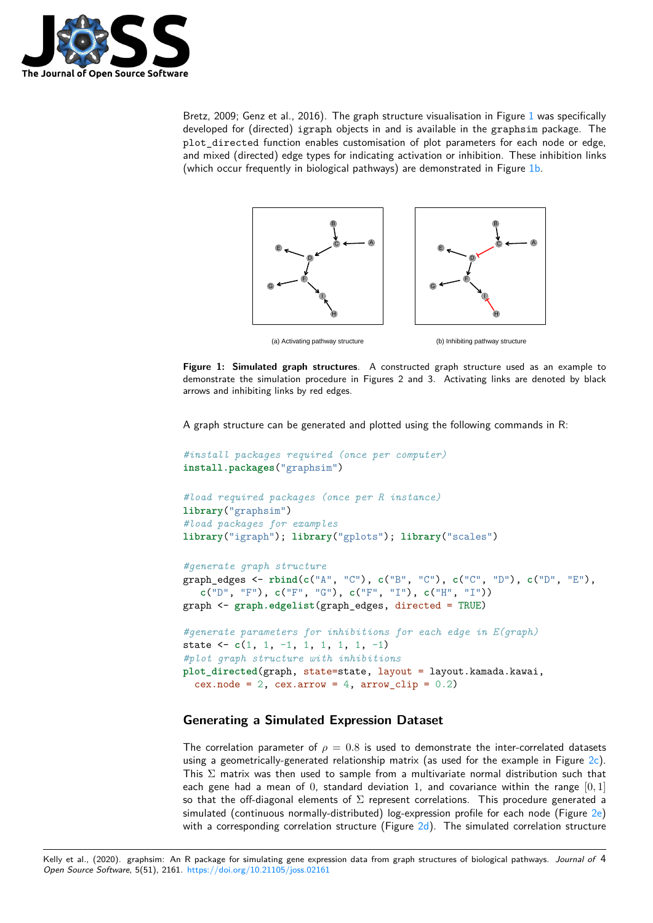

Bretz, 2009; Genz et al., 2016). The graph structure visualisation in Figure 1 was specifically developed for (directed) igraph objects in and is available in the graphsim package. The plot\_directed function enables customisation of plot parameters for each node or edge, and mixed (directed) edge types for indicating activation or inhibition. These inhibition links (which occur frequently in biological pathways) are demonstrated in Figure 1b.



**Figure 1: Simulated graph structures**. A constructed graph structure used as an example to demonstrate the simulation procedure in Figures 2 and 3. Activating links are denoted by black arrows and inhibiting links by red edges.

A graph structure can be generated and plotted using the following commands in R:

```
#install packages required (once per computer)
install.packages("graphsim")
#load required packages (once per R instance)
library("graphsim")
#load packages for examples
library("igraph"); library("gplots"); library("scales")
#generate graph structure
graph_edges <- rbind(c("A", "C"), c("B", "C"), c("C", "D"), c("D", "E"),
   c("D", "F"), c("F", "G"), c("F", "I"), c("H", "I"))
graph <- graph.edgelist(graph_edges, directed = TRUE)
#generate parameters for inhibitions for each edge in E(graph)
state <- c(1, 1, -1, 1, 1, 1, 1, -1)
#plot graph structure with inhibitions
plot_directed(graph, state=state, layout = layout.kamada.kawai,
  cex.node = 2, cex.arrow = 4, arrow_clip = 0.2)
```
#### **Generating a Simulated Expression Dataset**

The correlation parameter of  $\rho = 0.8$  is used to demonstrate the inter-correlated datasets using a geometrically-generated relationship matrix (as used for the example in Figure  $2c$ ). This  $\Sigma$  matrix was then used to sample from a multivariate normal distribution such that each gene had a mean of  $0$ , standard deviation 1, and covariance within the range  $[0, 1]$ so that the off-diagonal elements of  $\Sigma$  represent correlations. This procedure generated a simulated (continuous normally-distributed) log-expression profile for each node (Figure 2e) with a corresponding correlation structure (Figure  $2d$ ). The simulated correlation structure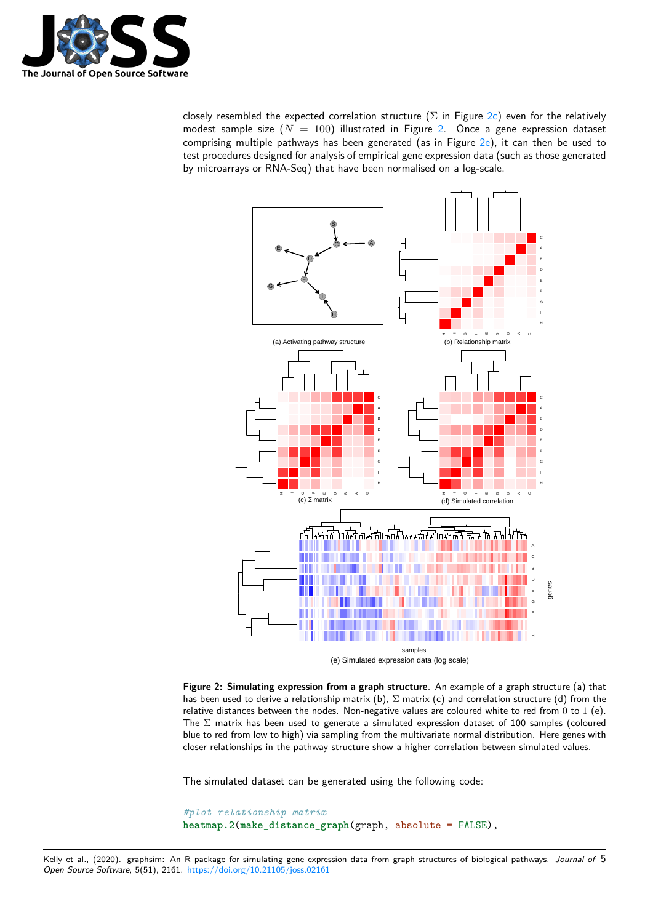

closely resembled the expected correlation structure ( $\Sigma$  in Figure 2c) even for the relatively modest sample size  $(N = 100)$  illustrated in Figure 2. Once a gene expression dataset comprising multiple pathways has been generated (as in Figure  $2e$ ), it can then be used to test procedures designed for analysis of empirical gene expression data (such as those generated by microarrays or RNA-Seq) that have been normalised on a log-scale.





**Figure 2: Simulating expression from a graph structure**. An example of a graph structure (a) that has been used to derive a relationship matrix (b),  $\Sigma$  matrix (c) and correlation structure (d) from the relative distances between the nodes. Non-negative values are coloured white to red from  $0$  to  $1$  (e). The  $\Sigma$  matrix has been used to generate a simulated expression dataset of 100 samples (coloured blue to red from low to high) via sampling from the multivariate normal distribution. Here genes with closer relationships in the pathway structure show a higher correlation between simulated values.

The simulated dataset can be generated using the following code:

```
#plot relationship matrix
heatmap.2(make_distance_graph(graph, absolute = FALSE),
```
Kelly et al., (2020). graphsim: An R package for simulating gene expression data from graph structures of biological pathways. *Journal of* 5*Open Source Software*, 5(51), 2161. https://doi.org/10.21105/joss.02161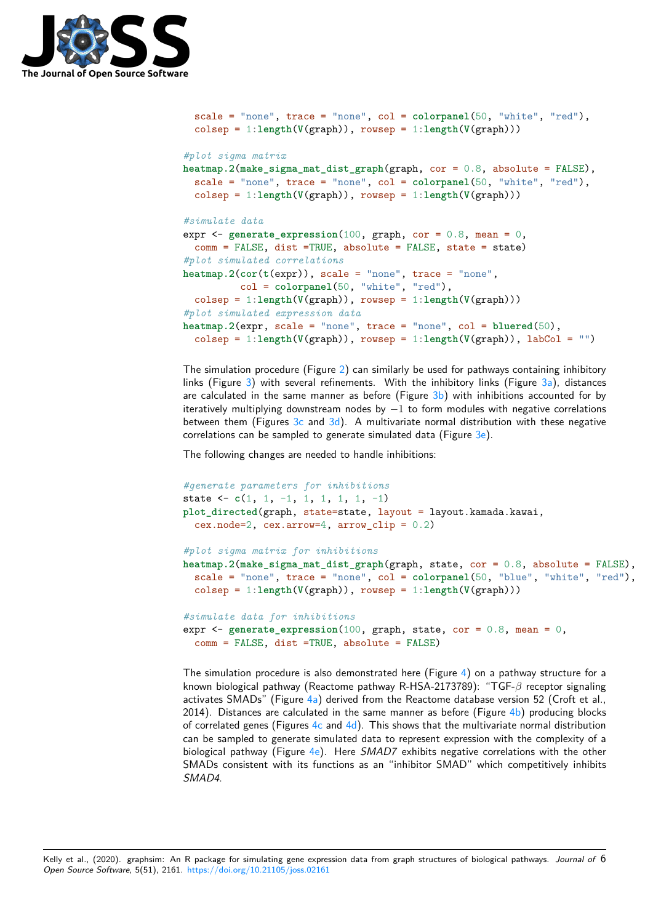

```
scale = "none", trace = "none", col = colorpanel(50, "white", "red"),
  colsep = 1:length(V(graph)), rowsep = 1:length(V(graph)))
#plot sigma matrix
heatmap.2(make_sigma_mat_dist_graph(graph, cor = 0.8, absolute = FALSE),
  scale = "none", trace = "none", col = colorpanel(50, "white", "red"),
  colsep = 1:length(V(graph)), rowsep = 1:length(V(graph)))
#simulate data
expr <- generate_expression(100, graph, cor = 0.8, mean = 0,
  comm = FALSE, dist =TRUE, absolute = FALSE, state = state)
#plot simulated correlations
heatmap.2(cor(t(expr)), scale = "none", trace = "none",
          col = colorpanel(50, "white", "red"),
  colsep = 1:length(V(graph)), rowsep = 1:length(V(graph)))
#plot simulated expression data
heatmap.2(expr, scale = "none", trace = "none", col = bluered(50),
  \text{colsep} = 1:\text{length}(V(\text{graph})), \text{rowsep} = 1:\text{length}(V(\text{graph})), \text{labelol} = "")
```
The simulation procedure (Figure 2) can similarly be used for pathways containing inhibitory links (Figure 3) with several refinements. With the inhibitory links (Figure  $3a$ ), distances are calculated in the same manner as before (Figure  $3b$ ) with inhibitions accounted for by iteratively multiplying downstream nodes by *−*1 to form modules with negative correlations between them (Figures  $3c$  and  $3d$ ). A multivariate normal distribution with these negative correlations can be sampled to generate simulated data (Figure  $3e$ ).

The following changes are needed to handle inhibitions:

```
#generate parameters for inhibitions
state <- c(1, 1, -1, 1, 1, 1, 1, -1)
plot_directed(graph, state=state, layout = layout.kamada.kawai,
  cex.node=2, cex.arrow=4, arrow_clip = 0.2)
#plot sigma matrix for inhibitions
heatmap.2(make_sigma_mat_dist_graph(graph, state, cor = 0.8, absolute = FALSE),
  scale = "none", trace = "none", col = colorpanel(50, "blue", "white", "red"),
  colsep = 1:length(V(graph)), rowsep = 1:length(V(graph)))
#simulate data for inhibitions
expr <- generate_expression(100, graph, state, cor = 0.8, mean = 0,
  comm = FALSE, dist =TRUE, absolute = FALSE)
```
The simulation procedure is also demonstrated here (Figure 4) on a pathway structure for a known biological pathway (Reactome pathway R-HSA-2173789): "TGF-*β* receptor signaling activates SMADs" (Figure  $4a$ ) derived from the Reactome database version 52 (Croft et al., 2014). Distances are calculated in the same manner as before (Figure  $4b$ ) producing blocks of correlated genes (Figures  $4c$  and  $4d$ ). This shows that the multivariate normal distribution can be sampled to generate simulated data to represent expression with the complexity of a biological pathway (Figure 4e). Here *SMAD7* exhibits negative correlations with the other SMADs consistent with its functions as an "inhibitor SMAD" which competitively inhibits *SMAD4*.

Kelly et al., (2020). graphsim: An R package for simulating gene expression data from graph structures of biological pathways. *Journal of* 6*Open Source Software*, 5(51), 2161. https://doi.org/10.21105/joss.02161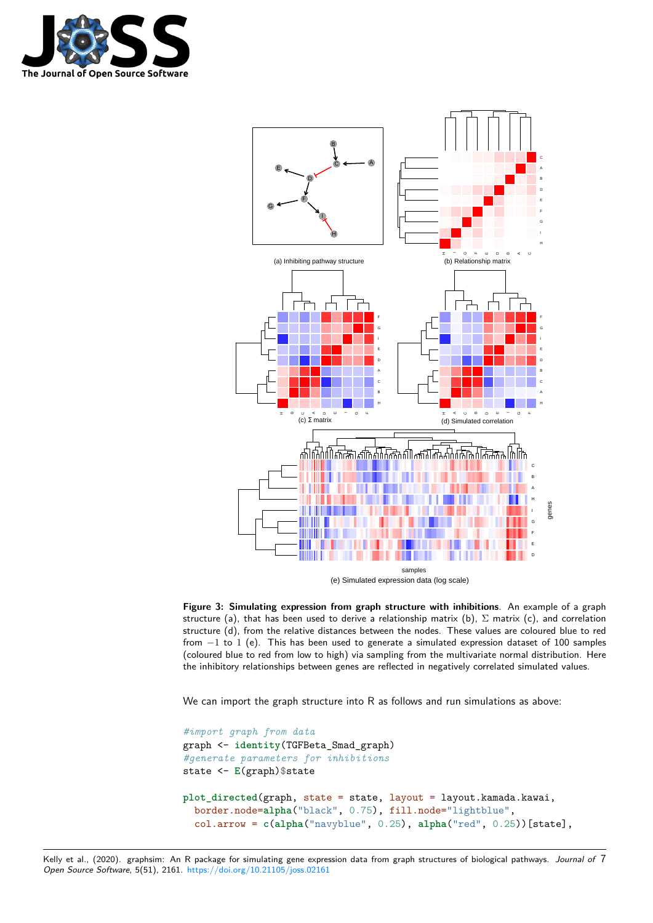



**Figure 3: Simulating expression from graph structure with inhibitions**. An example of a graph structure (a), that has been used to derive a relationship matrix (b),  $\Sigma$  matrix (c), and correlation structure (d), from the relative distances between the nodes. These values are coloured blue to red from *−*1 to 1 (e). This has been used to generate a simulated expression dataset of 100 samples (coloured blue to red from low to high) via sampling from the multivariate normal distribution. Here the inhibitory relationships between genes are reflected in negatively correlated simulated values.

We can import the graph structure into R as follows and run simulations as above:

```
#import graph from data
graph <- identity(TGFBeta_Smad_graph)
#generate parameters for inhibitions
state <- E(graph)$state
plot_directed(graph, state = state, layout = layout.kamada.kawai,
  border.node=alpha("black", 0.75), fill.node="lightblue",
  col.arrow = c(alpha("navyblue", 0.25), alpha("red", 0.25))[state],
```
Kelly et al., (2020). graphsim: An R package for simulating gene expression data from graph structures of biological pathways. *Journal of* 7*Open Source Software*, 5(51), 2161. https://doi.org/10.21105/joss.02161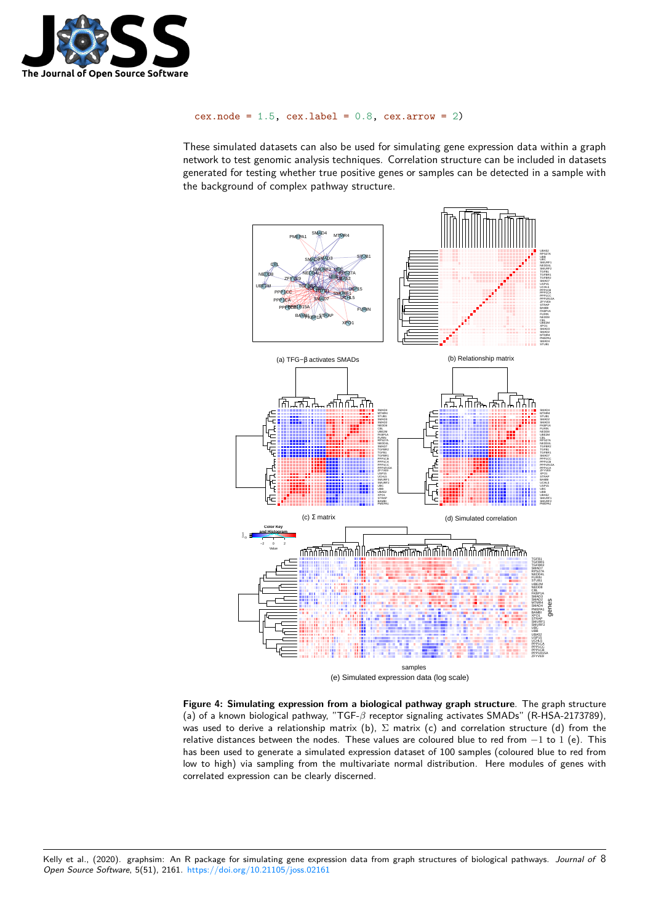

#### cex.node =  $1.5$ , cex.label =  $0.8$ , cex.arrow =  $2)$

These simulated datasets can also be used for simulating gene expression data within a graph network to test genomic analysis techniques. Correlation structure can be included in datasets generated for testing whether true positive genes or samples can be detected in a sample with the background of complex pathway structure.





**Figure 4: Simulating expression from a biological pathway graph structure**. The graph structure (a) of a known biological pathway, "TGF-*β* receptor signaling activates SMADs" (R-HSA-2173789), was used to derive a relationship matrix (b),  $\Sigma$  matrix (c) and correlation structure (d) from the relative distances between the nodes. These values are coloured blue to red from *−*1 to 1 (e). This has been used to generate a simulated expression dataset of 100 samples (coloured blue to red from low to high) via sampling from the multivariate normal distribution. Here modules of genes with correlated expression can be clearly discerned.

Kelly et al., (2020). graphsim: An R package for simulating gene expression data from graph structures of biological pathways. *Journal of* 8*Open Source Software*, 5(51), 2161. https://doi.org/10.21105/joss.02161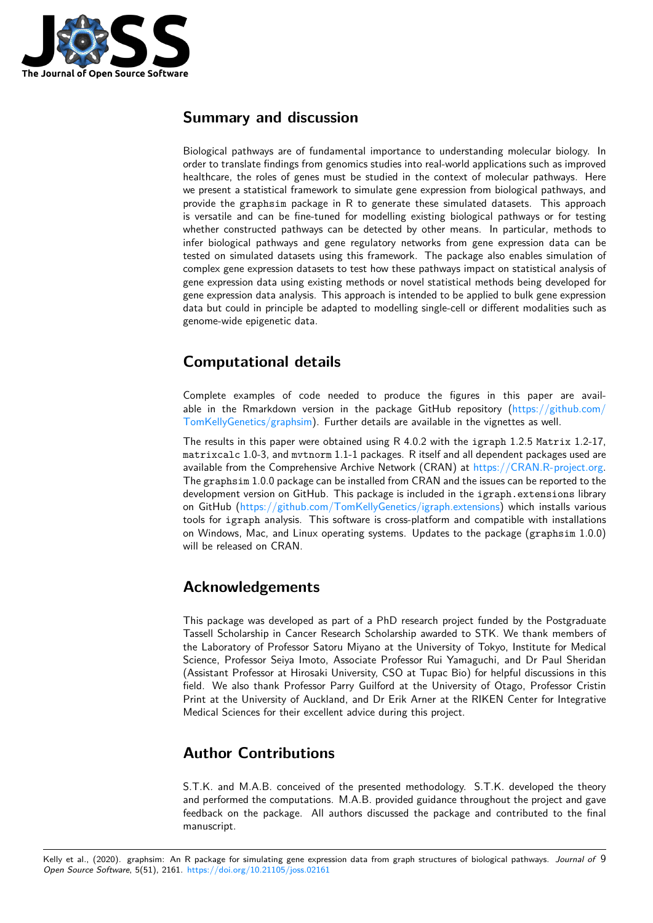

## **Summary and discussion**

Biological pathways are of fundamental importance to understanding molecular biology. In order to translate findings from genomics studies into real-world applications such as improved healthcare, the roles of genes must be studied in the context of molecular pathways. Here we present a statistical framework to simulate gene expression from biological pathways, and provide the graphsim package in R to generate these simulated datasets. This approach is versatile and can be fine-tuned for modelling existing biological pathways or for testing whether constructed pathways can be detected by other means. In particular, methods to infer biological pathways and gene regulatory networks from gene expression data can be tested on simulated datasets using this framework. The package also enables simulation of complex gene expression datasets to test how these pathways impact on statistical analysis of gene expression data using existing methods or novel statistical methods being developed for gene expression data analysis. This approach is intended to be applied to bulk gene expression data but could in principle be adapted to modelling single-cell or different modalities such as genome-wide epigenetic data.

## **Computational details**

Complete examples of code needed to produce the figures in this paper are available in the Rmarkdown version in the package GitHub repository (https://github.com/ TomKellyGenetics/graphsim). Further details are available in the vignettes as well.

The results in this paper were obtained using R 4.0.2 with the igraph 1.2.5 Matrix 1.2-17, matrixcalc 1.0-3, and mvtnorm 1.1-1 packages. R itself and all dependent packages used are [available from the Comprehe](https://github.com/TomKellyGenetics/graphsim)nsive Archive Network (CRAN) at https://[CRAN.R-project.org.](https://github.com/TomKellyGenetics/graphsim) The graphsim 1.0.0 package can be installed from CRAN and the issues can be reported to the development version on GitHub. This package is included in the igraph.extensions library on GitHub (https://github.com/TomKellyGenetics/igraph.extensions) which installs various tools for igraph analysis. This software is cross-platform and [compatible with installations](https://CRAN.R-project.org) on Windows, Mac, and Linux operating systems. Updates to the package (graphsim 1.0.0) will be released on CRAN.

## **Acknowledgements**

This package was developed as part of a PhD research project funded by the Postgraduate Tassell Scholarship in Cancer Research Scholarship awarded to STK. We thank members of the Laboratory of Professor Satoru Miyano at the University of Tokyo, Institute for Medical Science, Professor Seiya Imoto, Associate Professor Rui Yamaguchi, and Dr Paul Sheridan (Assistant Professor at Hirosaki University, CSO at Tupac Bio) for helpful discussions in this field. We also thank Professor Parry Guilford at the University of Otago, Professor Cristin Print at the University of Auckland, and Dr Erik Arner at the RIKEN Center for Integrative Medical Sciences for their excellent advice during this project.

## **Author Contributions**

S.T.K. and M.A.B. conceived of the presented methodology. S.T.K. developed the theory and performed the computations. M.A.B. provided guidance throughout the project and gave feedback on the package. All authors discussed the package and contributed to the final manuscript.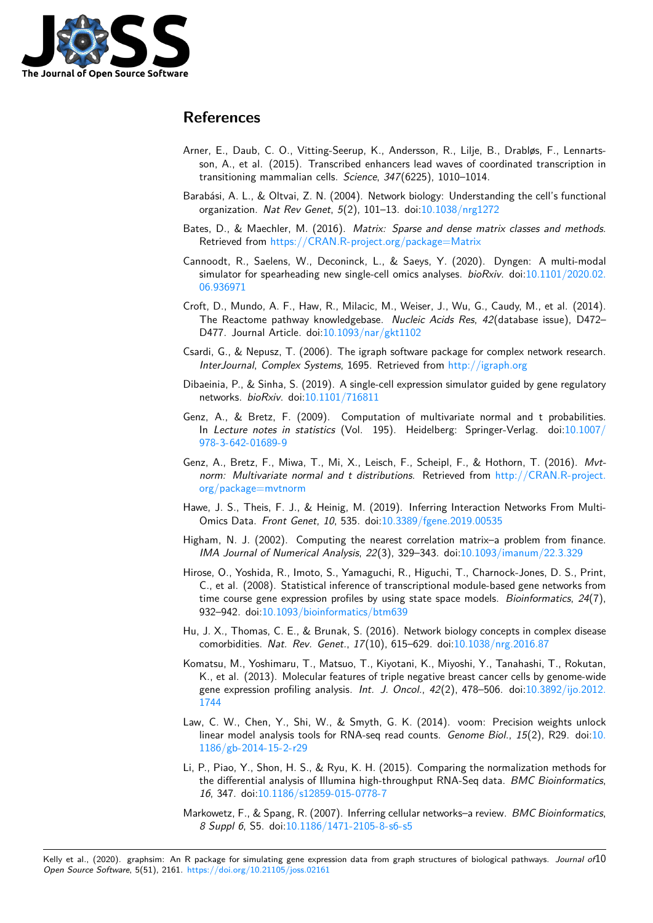

## **References**

- Arner, E., Daub, C. O., Vitting-Seerup, K., Andersson, R., Lilje, B., Drabløs, F., Lennartsson, A., et al. (2015). Transcribed enhancers lead waves of coordinated transcription in transitioning mammalian cells. *Science*, *347*(6225), 1010–1014.
- Barabási, A. L., & Oltvai, Z. N. (2004). Network biology: Understanding the cell's functional organization. *Nat Rev Genet*, *5*(2), 101–13. doi:10.1038/nrg1272
- Bates, D., & Maechler, M. (2016). *Matrix: Sparse and dense matrix classes and methods*. Retrieved from https://CRAN.R-project.org/package=Matrix
- Cannoodt, R., Saelens, W., Deconinck, L., & Sae[ys, Y. \(2020\). D](https://doi.org/10.1038/nrg1272)yngen: A multi-modal simulator for spearheading new single-cell omics analyses. *bioRxiv*. doi:10.1101/2020.02. 06.936971
- Croft, D., Mundo, [A. F., Haw, R., Milacic, M., Weiser, J., Wu, G](https://CRAN.R-project.org/package=Matrix)., Caudy, M., et al. (2014). The Reactome pathway knowledgebase. *Nucleic Acids Res*, *42*(datab[ase issue\), D472–](https://doi.org/10.1101/2020.02.06.936971) [D477. Jou](https://doi.org/10.1101/2020.02.06.936971)rnal Article. doi:10.1093/nar/gkt1102
- Csardi, G., & Nepusz, T. (2006). The igraph software package for complex network research. *InterJournal*, *Complex Systems*, 1695. Retrieved from http://igraph.org
- Dibaeinia, P., & Sinha, S. (201[9\). A single-cell expres](https://doi.org/10.1093/nar/gkt1102)sion simulator guided by gene regulatory networks. *bioRxiv*. doi:10.1101/716811
- Genz, A., & Bretz, F. (2009). Computation of multi[variate normal an](http://igraph.org)d t probabilities. In *Lecture notes in statistics* (Vol. 195). Heidelberg: Springer-Verlag. doi:10.1007/ 978-3-642-01689-9
- Genz, A., Bretz, F., Miwa[, T., Mi, X., Leis](https://doi.org/10.1101/716811)ch, F., Scheipl, F., & Hothorn, T. (2016). *Mvtnorm: Multivariate normal and t distributions*. Retrieved from http://CRAN.[R-project.](https://doi.org/10.1007/978-3-642-01689-9) [org/package=mvtn](https://doi.org/10.1007/978-3-642-01689-9)orm
- Hawe, J. S., Theis, F. J., & Heinig, M. (2019). Inferring Interaction Networks From Multi-Omics Data. *Front Genet*, *10*, 535. doi:10.3389/fgene.2019.00535
- Hig[ham, N. J. \(2002\). Co](http://CRAN.R-project.org/package=mvtnorm)mputing the nearest correlation matrix–[a problem from finance.](http://CRAN.R-project.org/package=mvtnorm) *IMA Journal of Numerical Analysis*, *22*(3), 329–343. doi:10.1093/imanum/22.3.329
- Hirose, O., Yoshida, R., Imoto, S., Yamagu[chi, R., Higuchi, T., Charno](https://doi.org/10.3389/fgene.2019.00535)ck-Jones, D. S., Print, C., et al. (2008). Statistical inference of transcriptional module-based gene networks from time course gene expression profiles by using state space models. *[Bioinformatics](https://doi.org/10.1093/imanum/22.3.329)*, *24*(7), 932–942. doi:10.1093/bioinformatics/btm639
- Hu, J. X., Thomas, C. E., & Brunak, S. (2016). Network biology concepts in complex disease comorbidities. *Nat. Rev. Genet.*, *17*(10), 615–629. doi:10.1038/nrg.2016.87
- Komatsu, M., Yo[shimaru, T., Matsuo, T., Kiyotan](https://doi.org/10.1093/bioinformatics/btm639)i, K., Miyoshi, Y., Tanahashi, T., Rokutan, K., et al. (2013). Molecular features of triple negative breast cancer cells by genome-wide gene expression profiling analysis. *Int. J. Oncol.*, *42*(2[\), 478–506. doi:10.38](https://doi.org/10.1038/nrg.2016.87)92/ijo.2012. 1744
- Law, C. W., Chen, Y., Shi, W., & Smyth, G. K. (2014). voom: Precision weights unlock linear model analysis tools for RNA-seq read counts. *Genome Biol.*, *15*[\(2\), R29. doi:10.](https://doi.org/10.3892/ijo.2012.1744) [1186/](https://doi.org/10.3892/ijo.2012.1744)gb-2014-15-2-r29
- Li, P., Piao, Y., Shon, H. S., & Ryu, K. H. (2015). Comparing the normalization methods for the differential analysis of Illumina high-throughput RNA-Seq data. *BMC Bioinformat[ics](https://doi.org/10.1186/gb-2014-15-2-r29)*, *16*[, 347. doi:10.1186/s1](https://doi.org/10.1186/gb-2014-15-2-r29)2859-015-0778-7
- Markowetz, F., & Spang, R. (2007). Inferring cellular networks–a review. *BMC Bioinformatics*, *8 Suppl 6*, S5. doi:10.1186/1471-2105-8-s6-s5